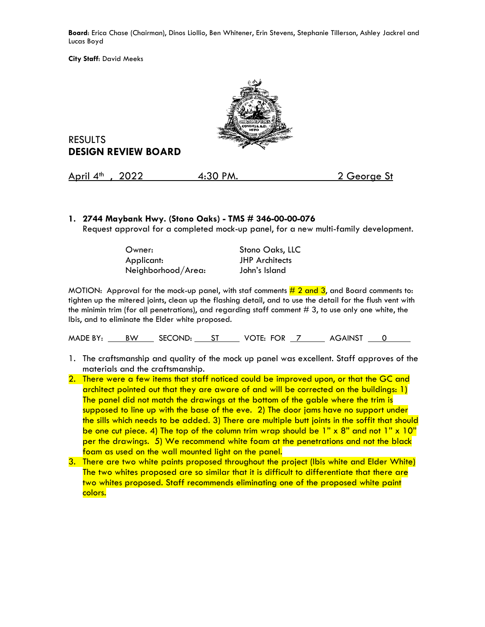**Board**: Erica Chase (Chairman), Dinos Liollio, Ben Whitener, Erin Stevens, Stephanie Tillerson, Ashley Jackrel and Lucas Boyd

**City Staff**: David Meeks



RESULTS **DESIGN REVIEW BOARD**

April 4<sup>th</sup>, 2022 4:30 PM. 2 George St

## **1. 2744 Maybank Hwy. (Stono Oaks) - TMS # 346-00-00-076**

Request approval for a completed mock-up panel, for a new multi-family development.

| Owner:             | Stono Oaks, LLC       |  |
|--------------------|-----------------------|--|
| Applicant:         | <b>JHP</b> Architects |  |
| Neighborhood/Area: | John's Island         |  |

MOTION: Approval for the mock-up panel, with staf comments  $\frac{\mu}{2}$  and 3, and Board comments to: tighten up the mitered joints, clean up the flashing detail, and to use the detail for the flush vent with the minimin trim (for all penetrations), and regarding staff comment # 3, to use only one white, the Ibis, and to eliminate the Elder white proposed.

MADE BY: BW SECOND: ST VOTE: FOR 7 AGAINST 0

- 1. The craftsmanship and quality of the mock up panel was excellent. Staff approves of the materials and the craftsmanship.
- 2. There were a few items that staff noticed could be improved upon, or that the GC and architect pointed out that they are aware of and will be corrected on the buildings: 1) The panel did not match the drawings at the bottom of the gable where the trim is supposed to line up with the base of the eve. 2) The door jams have no support under the sills which needs to be added. 3) There are multiple butt joints in the soffit that should be one cut piece. 4) The top of the column trim wrap should be  $1" \times 8"$  and not  $1" \times 10"$ per the drawings. 5) We recommend white foam at the penetrations and not the black foam as used on the wall mounted light on the panel.
- 3. There are two white paints proposed throughout the project (Ibis white and Elder White) The two whites proposed are so similar that it is difficult to differentiate that there are two whites proposed. Staff recommends eliminating one of the proposed white paint colors.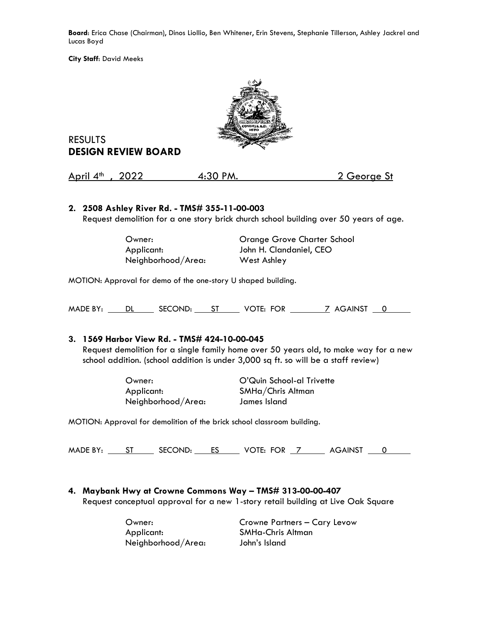**Board**: Erica Chase (Chairman), Dinos Liollio, Ben Whitener, Erin Stevens, Stephanie Tillerson, Ashley Jackrel and Lucas Boyd

**City Staff**: David Meeks



# RESULTS **DESIGN REVIEW BOARD**

| April $4^{\text{th}}$ , 2022 | 4:30 PM. | 2 George St |
|------------------------------|----------|-------------|
|                              |          |             |

## **2. 2508 Ashley River Rd. - TMS# 355-11-00-003**

Request demolition for a one story brick church school building over 50 years of age.

| Owner:             | Orange Grove Charter School |
|--------------------|-----------------------------|
| Applicant:         | John H. Clandaniel, CEO     |
| Neighborhood/Area: | West Ashley                 |

MOTION: Approval for demo of the one-story U shaped building.

MADE BY: DL SECOND: ST VOTE: FOR 7 AGAINST 0

## **3. 1569 Harbor View Rd. - TMS# 424-10-00-045**

Request demolition for a single family home over 50 years old, to make way for a new school addition. (school addition is under 3,000 sq ft. so will be a staff review)

> Applicant: SMHa/Chris Altman Neighborhood/Area: James Island

Owner: O'Quin School-al Trivette

MOTION: Approval for demolition of the brick school classroom building.

MADE BY: ST SECOND: ES VOTE: FOR 7 AGAINST 0

## **4. Maybank Hwy at Crowne Commons Way – TMS# 313-00-00-407**

Request conceptual approval for a new 1-story retail building at Live Oak Square

 Applicant: SMHa-Chris Altman Neighborhood/Area: John's Island

Owner: Crowne Partners – Cary Levow